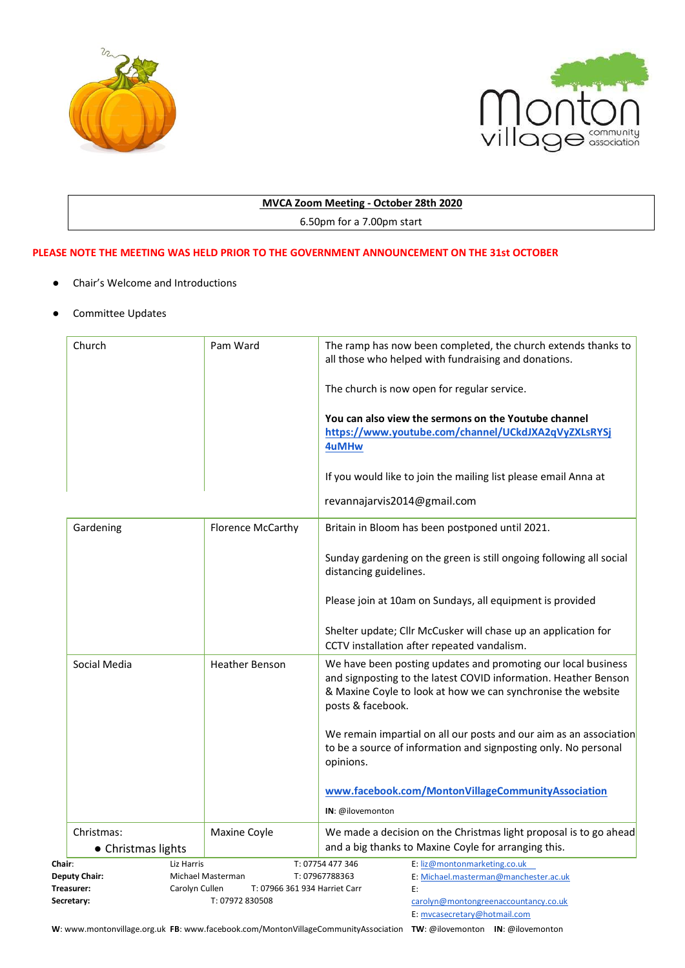



# **MVCA Zoom Meeting - October 28th 2020**

6.50pm for a 7.00pm start

## **PLEASE NOTE THE MEETING WAS HELD PRIOR TO THE GOVERNMENT ANNOUNCEMENT ON THE 31st OCTOBER**

- Chair's Welcome and Introductions
- Committee Updates

| Church                                                                                                     | Pam Ward              | The ramp has now been completed, the church extends thanks to<br>all those who helped with fundraising and donations.                                                                                                 |
|------------------------------------------------------------------------------------------------------------|-----------------------|-----------------------------------------------------------------------------------------------------------------------------------------------------------------------------------------------------------------------|
|                                                                                                            |                       | The church is now open for regular service.                                                                                                                                                                           |
|                                                                                                            |                       | You can also view the sermons on the Youtube channel<br>https://www.youtube.com/channel/UCkdJXA2qVyZXLsRYSj<br>4uMHw                                                                                                  |
|                                                                                                            |                       | If you would like to join the mailing list please email Anna at                                                                                                                                                       |
|                                                                                                            |                       | revannajarvis2014@gmail.com                                                                                                                                                                                           |
| Gardening                                                                                                  | Florence McCarthy     | Britain in Bloom has been postponed until 2021.                                                                                                                                                                       |
|                                                                                                            |                       | Sunday gardening on the green is still ongoing following all social<br>distancing guidelines.                                                                                                                         |
|                                                                                                            |                       | Please join at 10am on Sundays, all equipment is provided                                                                                                                                                             |
|                                                                                                            |                       | Shelter update; Cllr McCusker will chase up an application for<br>CCTV installation after repeated vandalism.                                                                                                         |
| Social Media                                                                                               | <b>Heather Benson</b> | We have been posting updates and promoting our local business<br>and signposting to the latest COVID information. Heather Benson<br>& Maxine Coyle to look at how we can synchronise the website<br>posts & facebook. |
|                                                                                                            |                       | We remain impartial on all our posts and our aim as an association<br>to be a source of information and signposting only. No personal<br>opinions.                                                                    |
|                                                                                                            |                       | www.facebook.com/MontonVillageCommunityAssociation                                                                                                                                                                    |
|                                                                                                            |                       | IN: @ilovemonton                                                                                                                                                                                                      |
| Christmas:                                                                                                 | Maxine Coyle          | We made a decision on the Christmas light proposal is to go ahead                                                                                                                                                     |
| • Christmas lights                                                                                         |                       | and a big thanks to Maxine Coyle for arranging this.                                                                                                                                                                  |
| Chair:                                                                                                     | Liz Harris            | E: liz@montonmarketing.co.uk<br>T: 07754 477 346                                                                                                                                                                      |
| <b>Deputy Chair:</b><br>Michael Masterman<br>Carolyn Cullen<br>T: 07966 361 934 Harriet Carr<br>Treasurer: |                       | T: 07967788363<br>E: Michael.masterman@manchester.ac.uk<br>E:                                                                                                                                                         |
| Secretary:                                                                                                 | T: 07972 830508       | carolyn@montongreenaccountancy.co.uk<br>E: mvcasecretary@hotmail.com                                                                                                                                                  |

**W**: www.montonvillage.org.uk **FB**: www.facebook.com/MontonVillageCommunityAssociation **TW**: @ilovemonton **IN**: @ilovemonton